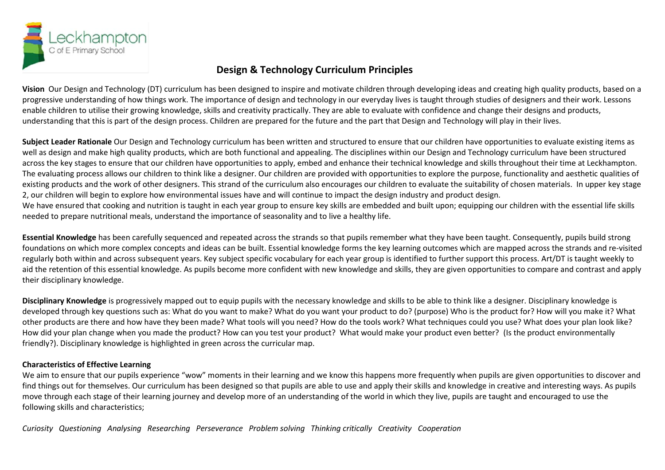

## **Design & Technology Curriculum Principles**

**Vision** Our Design and Technology (DT) curriculum has been designed to inspire and motivate children through developing ideas and creating high quality products, based on a progressive understanding of how things work. The importance of design and technology in our everyday lives is taught through studies of designers and their work. Lessons enable children to utilise their growing knowledge, skills and creativity practically. They are able to evaluate with confidence and change their designs and products, understanding that this is part of the design process. Children are prepared for the future and the part that Design and Technology will play in their lives.

**Subject Leader Rationale** Our Design and Technology curriculum has been written and structured to ensure that our children have opportunities to evaluate existing items as well as design and make high quality products, which are both functional and appealing. The disciplines within our Design and Technology curriculum have been structured across the key stages to ensure that our children have opportunities to apply, embed and enhance their technical knowledge and skills throughout their time at Leckhampton. The evaluating process allows our children to think like a designer. Our children are provided with opportunities to explore the purpose, functionality and aesthetic qualities of existing products and the work of other designers. This strand of the curriculum also encourages our children to evaluate the suitability of chosen materials. In upper key stage 2, our children will begin to explore how environmental issues have and will continue to impact the design industry and product design.

We have ensured that cooking and nutrition is taught in each year group to ensure key skills are embedded and built upon; equipping our children with the essential life skills needed to prepare nutritional meals, understand the importance of seasonality and to live a healthy life.

**Essential Knowledge** has been carefully sequenced and repeated across the strands so that pupils remember what they have been taught. Consequently, pupils build strong foundations on which more complex concepts and ideas can be built. Essential knowledge forms the key learning outcomes which are mapped across the strands and re-visited regularly both within and across subsequent years. Key subject specific vocabulary for each year group is identified to further support this process. Art/DT is taught weekly to aid the retention of this essential knowledge. As pupils become more confident with new knowledge and skills, they are given opportunities to compare and contrast and apply their disciplinary knowledge.

**Disciplinary Knowledge** is progressively mapped out to equip pupils with the necessary knowledge and skills to be able to think like a designer. Disciplinary knowledge is developed through key questions such as: What do you want to make? What do you want your product to do? (purpose) Who is the product for? How will you make it? What other products are there and how have they been made? What tools will you need? How do the tools work? What techniques could you use? What does your plan look like? How did your plan change when you made the product? How can you test your product? What would make your product even better? (Is the product environmentally friendly?). Disciplinary knowledge is highlighted in green across the curricular map.

## **Characteristics of Effective Learning**

We aim to ensure that our pupils experience "wow" moments in their learning and we know this happens more frequently when pupils are given opportunities to discover and find things out for themselves. Our curriculum has been designed so that pupils are able to use and apply their skills and knowledge in creative and interesting ways. As pupils move through each stage of their learning journey and develop more of an understanding of the world in which they live, pupils are taught and encouraged to use the following skills and characteristics;

*Curiosity Questioning Analysing Researching Perseverance Problem solving Thinking critically Creativity Cooperation*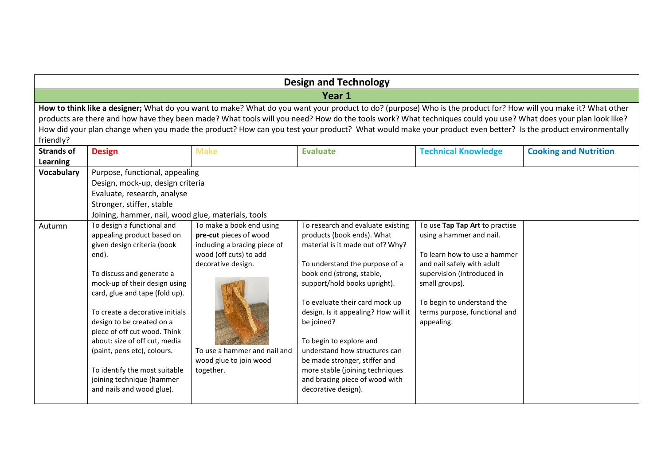| <b>Design and Technology</b> |                                                                                                                                                             |                              |                                                                                                                                                                 |                                |                              |  |  |  |
|------------------------------|-------------------------------------------------------------------------------------------------------------------------------------------------------------|------------------------------|-----------------------------------------------------------------------------------------------------------------------------------------------------------------|--------------------------------|------------------------------|--|--|--|
|                              | Year 1                                                                                                                                                      |                              |                                                                                                                                                                 |                                |                              |  |  |  |
|                              |                                                                                                                                                             |                              | How to think like a designer; What do you want to make? What do you want your product to do? (purpose) Who is the product for? How will you make it? What other |                                |                              |  |  |  |
|                              |                                                                                                                                                             |                              | products are there and how have they been made? What tools will you need? How do the tools work? What techniques could you use? What does your plan look like?  |                                |                              |  |  |  |
| friendly?                    | How did your plan change when you made the product? How can you test your product? What would make your product even better? Is the product environmentally |                              |                                                                                                                                                                 |                                |                              |  |  |  |
| <b>Strands of</b>            | <b>Design</b>                                                                                                                                               | <b>Make</b>                  | <b>Evaluate</b>                                                                                                                                                 | <b>Technical Knowledge</b>     | <b>Cooking and Nutrition</b> |  |  |  |
| <b>Learning</b>              |                                                                                                                                                             |                              |                                                                                                                                                                 |                                |                              |  |  |  |
| Vocabulary                   | Purpose, functional, appealing                                                                                                                              |                              |                                                                                                                                                                 |                                |                              |  |  |  |
|                              | Design, mock-up, design criteria                                                                                                                            |                              |                                                                                                                                                                 |                                |                              |  |  |  |
|                              | Evaluate, research, analyse                                                                                                                                 |                              |                                                                                                                                                                 |                                |                              |  |  |  |
|                              | Stronger, stiffer, stable                                                                                                                                   |                              |                                                                                                                                                                 |                                |                              |  |  |  |
|                              | Joining, hammer, nail, wood glue, materials, tools                                                                                                          |                              |                                                                                                                                                                 |                                |                              |  |  |  |
| Autumn                       | To design a functional and                                                                                                                                  | To make a book end using     | To research and evaluate existing                                                                                                                               | To use Tap Tap Art to practise |                              |  |  |  |
|                              | appealing product based on                                                                                                                                  | pre-cut pieces of wood       | products (book ends). What                                                                                                                                      | using a hammer and nail.       |                              |  |  |  |
|                              | given design criteria (book                                                                                                                                 | including a bracing piece of | material is it made out of? Why?                                                                                                                                |                                |                              |  |  |  |
|                              | end).                                                                                                                                                       | wood (off cuts) to add       |                                                                                                                                                                 | To learn how to use a hammer   |                              |  |  |  |
|                              |                                                                                                                                                             | decorative design.           | To understand the purpose of a                                                                                                                                  | and nail safely with adult     |                              |  |  |  |
|                              | To discuss and generate a                                                                                                                                   |                              | book end (strong, stable,                                                                                                                                       | supervision (introduced in     |                              |  |  |  |
|                              | mock-up of their design using                                                                                                                               |                              | support/hold books upright).                                                                                                                                    | small groups).                 |                              |  |  |  |
|                              | card, glue and tape (fold up).                                                                                                                              |                              | To evaluate their card mock up                                                                                                                                  | To begin to understand the     |                              |  |  |  |
|                              | To create a decorative initials                                                                                                                             |                              | design. Is it appealing? How will it                                                                                                                            | terms purpose, functional and  |                              |  |  |  |
|                              | design to be created on a                                                                                                                                   |                              | be joined?                                                                                                                                                      | appealing.                     |                              |  |  |  |
|                              | piece of off cut wood. Think                                                                                                                                |                              |                                                                                                                                                                 |                                |                              |  |  |  |
|                              | about: size of off cut, media                                                                                                                               |                              | To begin to explore and                                                                                                                                         |                                |                              |  |  |  |
|                              | (paint, pens etc), colours.                                                                                                                                 | To use a hammer and nail and | understand how structures can                                                                                                                                   |                                |                              |  |  |  |
|                              |                                                                                                                                                             | wood glue to join wood       | be made stronger, stiffer and                                                                                                                                   |                                |                              |  |  |  |
|                              | To identify the most suitable                                                                                                                               | together.                    | more stable (joining techniques                                                                                                                                 |                                |                              |  |  |  |
|                              | joining technique (hammer                                                                                                                                   |                              | and bracing piece of wood with                                                                                                                                  |                                |                              |  |  |  |
|                              | and nails and wood glue).                                                                                                                                   |                              | decorative design).                                                                                                                                             |                                |                              |  |  |  |
|                              |                                                                                                                                                             |                              |                                                                                                                                                                 |                                |                              |  |  |  |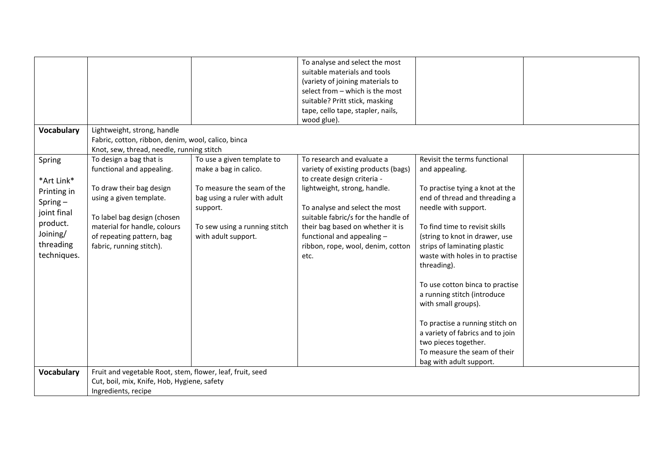|                   |                                                           |                               | To analyse and select the most      |                                  |  |
|-------------------|-----------------------------------------------------------|-------------------------------|-------------------------------------|----------------------------------|--|
|                   |                                                           |                               | suitable materials and tools        |                                  |  |
|                   |                                                           |                               | (variety of joining materials to    |                                  |  |
|                   |                                                           |                               | select from - which is the most     |                                  |  |
|                   |                                                           |                               | suitable? Pritt stick, masking      |                                  |  |
|                   |                                                           |                               | tape, cello tape, stapler, nails,   |                                  |  |
|                   |                                                           |                               | wood glue).                         |                                  |  |
| <b>Vocabulary</b> | Lightweight, strong, handle                               |                               |                                     |                                  |  |
|                   | Fabric, cotton, ribbon, denim, wool, calico, binca        |                               |                                     |                                  |  |
|                   | Knot, sew, thread, needle, running stitch                 |                               |                                     |                                  |  |
| Spring            | To design a bag that is                                   | To use a given template to    | To research and evaluate a          | Revisit the terms functional     |  |
|                   | functional and appealing.                                 | make a bag in calico.         | variety of existing products (bags) | and appealing.                   |  |
| *Art Link*        |                                                           |                               | to create design criteria -         |                                  |  |
| Printing in       | To draw their bag design                                  | To measure the seam of the    | lightweight, strong, handle.        | To practise tying a knot at the  |  |
|                   | using a given template.                                   | bag using a ruler with adult  |                                     | end of thread and threading a    |  |
| $Spring -$        |                                                           | support.                      | To analyse and select the most      | needle with support.             |  |
| joint final       | To label bag design (chosen                               |                               | suitable fabric/s for the handle of |                                  |  |
| product.          | material for handle, colours                              | To sew using a running stitch | their bag based on whether it is    | To find time to revisit skills   |  |
| Joining/          | of repeating pattern, bag                                 | with adult support.           | functional and appealing -          | (string to knot in drawer, use   |  |
| threading         | fabric, running stitch).                                  |                               | ribbon, rope, wool, denim, cotton   | strips of laminating plastic     |  |
| techniques.       |                                                           |                               | etc.                                | waste with holes in to practise  |  |
|                   |                                                           |                               |                                     | threading).                      |  |
|                   |                                                           |                               |                                     |                                  |  |
|                   |                                                           |                               |                                     | To use cotton binca to practise  |  |
|                   |                                                           |                               |                                     | a running stitch (introduce      |  |
|                   |                                                           |                               |                                     | with small groups).              |  |
|                   |                                                           |                               |                                     |                                  |  |
|                   |                                                           |                               |                                     | To practise a running stitch on  |  |
|                   |                                                           |                               |                                     | a variety of fabrics and to join |  |
|                   |                                                           |                               |                                     | two pieces together.             |  |
|                   |                                                           |                               |                                     | To measure the seam of their     |  |
|                   |                                                           |                               |                                     | bag with adult support.          |  |
| <b>Vocabulary</b> | Fruit and vegetable Root, stem, flower, leaf, fruit, seed |                               |                                     |                                  |  |
|                   | Cut, boil, mix, Knife, Hob, Hygiene, safety               |                               |                                     |                                  |  |
|                   | Ingredients, recipe                                       |                               |                                     |                                  |  |
|                   |                                                           |                               |                                     |                                  |  |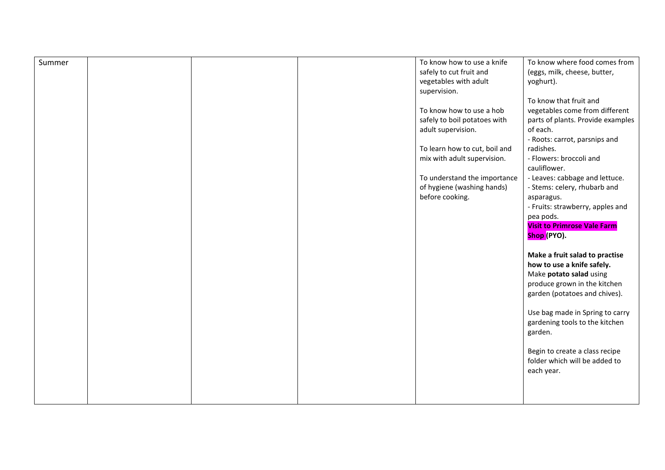| Summer |  | To know how to use a knife    | To know where food comes from      |
|--------|--|-------------------------------|------------------------------------|
|        |  | safely to cut fruit and       | (eggs, milk, cheese, butter,       |
|        |  | vegetables with adult         | yoghurt).                          |
|        |  | supervision.                  |                                    |
|        |  |                               | To know that fruit and             |
|        |  | To know how to use a hob      | vegetables come from different     |
|        |  | safely to boil potatoes with  | parts of plants. Provide examples  |
|        |  | adult supervision.            | of each.                           |
|        |  |                               | - Roots: carrot, parsnips and      |
|        |  | To learn how to cut, boil and | radishes.                          |
|        |  | mix with adult supervision.   | - Flowers: broccoli and            |
|        |  |                               | cauliflower.                       |
|        |  | To understand the importance  | - Leaves: cabbage and lettuce.     |
|        |  | of hygiene (washing hands)    | - Stems: celery, rhubarb and       |
|        |  | before cooking.               | asparagus.                         |
|        |  |                               | - Fruits: strawberry, apples and   |
|        |  |                               | pea pods.                          |
|        |  |                               | <b>Visit to Primrose Vale Farm</b> |
|        |  |                               | Shop (PYO).                        |
|        |  |                               |                                    |
|        |  |                               | Make a fruit salad to practise     |
|        |  |                               | how to use a knife safely.         |
|        |  |                               | Make potato salad using            |
|        |  |                               | produce grown in the kitchen       |
|        |  |                               | garden (potatoes and chives).      |
|        |  |                               |                                    |
|        |  |                               | Use bag made in Spring to carry    |
|        |  |                               | gardening tools to the kitchen     |
|        |  |                               | garden.                            |
|        |  |                               |                                    |
|        |  |                               | Begin to create a class recipe     |
|        |  |                               | folder which will be added to      |
|        |  |                               | each year.                         |
|        |  |                               |                                    |
|        |  |                               |                                    |
|        |  |                               |                                    |
|        |  |                               |                                    |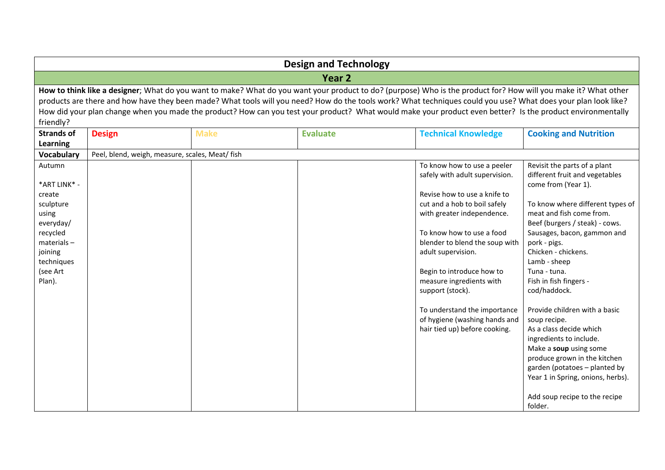|                        | <b>Design and Technology</b>                    |             |                                                                                                                                                                 |                                |                                                       |  |  |
|------------------------|-------------------------------------------------|-------------|-----------------------------------------------------------------------------------------------------------------------------------------------------------------|--------------------------------|-------------------------------------------------------|--|--|
|                        | Year <sub>2</sub>                               |             |                                                                                                                                                                 |                                |                                                       |  |  |
|                        |                                                 |             | How to think like a designer; What do you want to make? What do you want your product to do? (purpose) Who is the product for? How will you make it? What other |                                |                                                       |  |  |
|                        |                                                 |             | products are there and how have they been made? What tools will you need? How do the tools work? What techniques could you use? What does your plan look like?  |                                |                                                       |  |  |
|                        |                                                 |             | How did your plan change when you made the product? How can you test your product? What would make your product even better? Is the product environmentally     |                                |                                                       |  |  |
| friendly?              |                                                 |             |                                                                                                                                                                 |                                |                                                       |  |  |
| <b>Strands of</b>      | <b>Design</b>                                   | <b>Make</b> | <b>Evaluate</b>                                                                                                                                                 | <b>Technical Knowledge</b>     | <b>Cooking and Nutrition</b>                          |  |  |
| Learning               |                                                 |             |                                                                                                                                                                 |                                |                                                       |  |  |
| Vocabulary             | Peel, blend, weigh, measure, scales, Meat/ fish |             |                                                                                                                                                                 |                                |                                                       |  |  |
| Autumn                 |                                                 |             |                                                                                                                                                                 | To know how to use a peeler    | Revisit the parts of a plant                          |  |  |
| *ART LINK* -           |                                                 |             |                                                                                                                                                                 | safely with adult supervision. | different fruit and vegetables<br>come from (Year 1). |  |  |
| create                 |                                                 |             |                                                                                                                                                                 | Revise how to use a knife to   |                                                       |  |  |
| sculpture              |                                                 |             |                                                                                                                                                                 | cut and a hob to boil safely   | To know where different types of                      |  |  |
| using                  |                                                 |             |                                                                                                                                                                 | with greater independence.     | meat and fish come from.                              |  |  |
| everyday/              |                                                 |             |                                                                                                                                                                 |                                | Beef (burgers / steak) - cows.                        |  |  |
| recycled               |                                                 |             |                                                                                                                                                                 | To know how to use a food      | Sausages, bacon, gammon and                           |  |  |
| $materials -$          |                                                 |             |                                                                                                                                                                 | blender to blend the soup with | pork - pigs.                                          |  |  |
| joining                |                                                 |             |                                                                                                                                                                 | adult supervision.             | Chicken - chickens.<br>Lamb - sheep                   |  |  |
| techniques<br>(see Art |                                                 |             |                                                                                                                                                                 | Begin to introduce how to      | Tuna - tuna.                                          |  |  |
| Plan).                 |                                                 |             |                                                                                                                                                                 | measure ingredients with       | Fish in fish fingers -                                |  |  |
|                        |                                                 |             |                                                                                                                                                                 | support (stock).               | cod/haddock.                                          |  |  |
|                        |                                                 |             |                                                                                                                                                                 | To understand the importance   | Provide children with a basic                         |  |  |
|                        |                                                 |             |                                                                                                                                                                 | of hygiene (washing hands and  | soup recipe.                                          |  |  |
|                        |                                                 |             |                                                                                                                                                                 | hair tied up) before cooking.  | As a class decide which                               |  |  |
|                        |                                                 |             |                                                                                                                                                                 |                                | ingredients to include.                               |  |  |
|                        |                                                 |             |                                                                                                                                                                 |                                | Make a soup using some                                |  |  |
|                        |                                                 |             |                                                                                                                                                                 |                                | produce grown in the kitchen                          |  |  |
|                        |                                                 |             |                                                                                                                                                                 |                                | garden (potatoes - planted by                         |  |  |
|                        |                                                 |             |                                                                                                                                                                 |                                | Year 1 in Spring, onions, herbs).                     |  |  |
|                        |                                                 |             |                                                                                                                                                                 |                                | Add soup recipe to the recipe                         |  |  |
|                        |                                                 |             |                                                                                                                                                                 |                                | folder.                                               |  |  |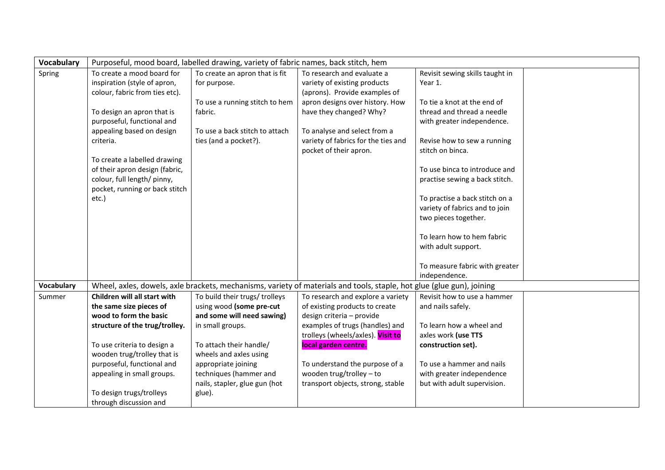| <b>Vocabulary</b> | Purposeful, mood board, labelled drawing, variety of fabric names, back stitch, hem |                                |                                                                                                                       |                                                                 |  |
|-------------------|-------------------------------------------------------------------------------------|--------------------------------|-----------------------------------------------------------------------------------------------------------------------|-----------------------------------------------------------------|--|
| Spring            | To create a mood board for                                                          | To create an apron that is fit | To research and evaluate a                                                                                            | Revisit sewing skills taught in                                 |  |
|                   | inspiration (style of apron,                                                        | for purpose.                   | variety of existing products                                                                                          | Year 1.                                                         |  |
|                   | colour, fabric from ties etc).                                                      |                                | (aprons). Provide examples of                                                                                         |                                                                 |  |
|                   |                                                                                     | To use a running stitch to hem | apron designs over history. How                                                                                       | To tie a knot at the end of                                     |  |
|                   | To design an apron that is                                                          | fabric.                        | have they changed? Why?                                                                                               | thread and thread a needle                                      |  |
|                   | purposeful, functional and                                                          |                                |                                                                                                                       | with greater independence.                                      |  |
|                   | appealing based on design                                                           | To use a back stitch to attach | To analyse and select from a                                                                                          |                                                                 |  |
|                   | criteria.                                                                           | ties (and a pocket?).          | variety of fabrics for the ties and                                                                                   | Revise how to sew a running                                     |  |
|                   |                                                                                     |                                | pocket of their apron.                                                                                                | stitch on binca.                                                |  |
|                   | To create a labelled drawing                                                        |                                |                                                                                                                       |                                                                 |  |
|                   | of their apron design (fabric,<br>colour, full length/ pinny,                       |                                |                                                                                                                       | To use binca to introduce and<br>practise sewing a back stitch. |  |
|                   | pocket, running or back stitch                                                      |                                |                                                                                                                       |                                                                 |  |
|                   | etc.)                                                                               |                                |                                                                                                                       | To practise a back stitch on a                                  |  |
|                   |                                                                                     |                                |                                                                                                                       | variety of fabrics and to join                                  |  |
|                   |                                                                                     |                                |                                                                                                                       | two pieces together.                                            |  |
|                   |                                                                                     |                                |                                                                                                                       |                                                                 |  |
|                   |                                                                                     |                                |                                                                                                                       | To learn how to hem fabric                                      |  |
|                   |                                                                                     |                                |                                                                                                                       | with adult support.                                             |  |
|                   |                                                                                     |                                |                                                                                                                       |                                                                 |  |
|                   |                                                                                     |                                |                                                                                                                       | To measure fabric with greater                                  |  |
|                   |                                                                                     |                                |                                                                                                                       | independence.                                                   |  |
| Vocabulary        |                                                                                     |                                | Wheel, axles, dowels, axle brackets, mechanisms, variety of materials and tools, staple, hot glue (glue gun), joining |                                                                 |  |
| Summer            | Children will all start with                                                        | To build their trugs/ trolleys | To research and explore a variety                                                                                     | Revisit how to use a hammer                                     |  |
|                   | the same size pieces of                                                             | using wood (some pre-cut       | of existing products to create                                                                                        | and nails safely.                                               |  |
|                   | wood to form the basic                                                              | and some will need sawing)     | design criteria - provide                                                                                             |                                                                 |  |
|                   | structure of the trug/trolley.                                                      | in small groups.               | examples of trugs (handles) and                                                                                       | To learn how a wheel and                                        |  |
|                   |                                                                                     |                                | trolleys (wheels/axles). Visit to                                                                                     | axles work (use TTS                                             |  |
|                   | To use criteria to design a                                                         | To attach their handle/        | local garden centre.                                                                                                  | construction set).                                              |  |
|                   | wooden trug/trolley that is                                                         | wheels and axles using         |                                                                                                                       |                                                                 |  |
|                   | purposeful, functional and                                                          | appropriate joining            | To understand the purpose of a                                                                                        | To use a hammer and nails                                       |  |
|                   | appealing in small groups.                                                          | techniques (hammer and         | wooden trug/trolley $-$ to                                                                                            | with greater independence                                       |  |
|                   | To design trugs/trolleys                                                            | nails, stapler, glue gun (hot  | transport objects, strong, stable                                                                                     | but with adult supervision.                                     |  |
|                   | through discussion and                                                              | glue).                         |                                                                                                                       |                                                                 |  |
|                   |                                                                                     |                                |                                                                                                                       |                                                                 |  |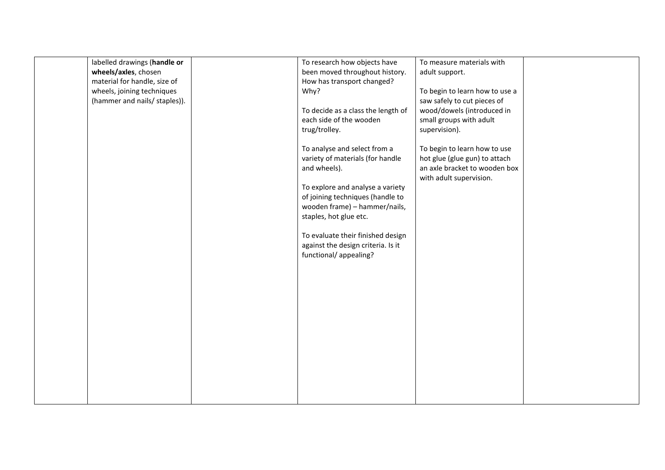| labelled drawings (handle or<br>wheels/axles, chosen<br>material for handle, size of<br>wheels, joining techniques<br>(hammer and nails/ staples)). | To research how objects have<br>been moved throughout history.<br>How has transport changed?<br>Why?<br>To decide as a class the length of<br>each side of the wooden<br>trug/trolley.<br>To analyse and select from a<br>variety of materials (for handle<br>and wheels).<br>To explore and analyse a variety<br>of joining techniques (handle to<br>wooden frame) - hammer/nails,<br>staples, hot glue etc.<br>To evaluate their finished design<br>against the design criteria. Is it<br>functional/ appealing? | To measure materials with<br>adult support.<br>To begin to learn how to use a<br>saw safely to cut pieces of<br>wood/dowels (introduced in<br>small groups with adult<br>supervision).<br>To begin to learn how to use<br>hot glue (glue gun) to attach<br>an axle bracket to wooden box<br>with adult supervision. |  |
|-----------------------------------------------------------------------------------------------------------------------------------------------------|--------------------------------------------------------------------------------------------------------------------------------------------------------------------------------------------------------------------------------------------------------------------------------------------------------------------------------------------------------------------------------------------------------------------------------------------------------------------------------------------------------------------|---------------------------------------------------------------------------------------------------------------------------------------------------------------------------------------------------------------------------------------------------------------------------------------------------------------------|--|
|                                                                                                                                                     |                                                                                                                                                                                                                                                                                                                                                                                                                                                                                                                    |                                                                                                                                                                                                                                                                                                                     |  |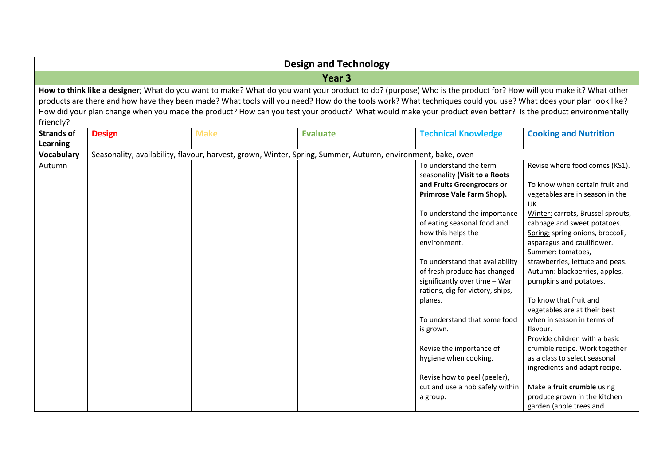| <b>Design and Technology</b> |                   |             |                                                                                                                                                                 |                                                                   |                                   |  |  |
|------------------------------|-------------------|-------------|-----------------------------------------------------------------------------------------------------------------------------------------------------------------|-------------------------------------------------------------------|-----------------------------------|--|--|
|                              | Year <sub>3</sub> |             |                                                                                                                                                                 |                                                                   |                                   |  |  |
|                              |                   |             | How to think like a designer; What do you want to make? What do you want your product to do? (purpose) Who is the product for? How will you make it? What other |                                                                   |                                   |  |  |
|                              |                   |             | products are there and how have they been made? What tools will you need? How do the tools work? What techniques could you use? What does your plan look like?  |                                                                   |                                   |  |  |
|                              |                   |             | How did your plan change when you made the product? How can you test your product? What would make your product even better? Is the product environmentally     |                                                                   |                                   |  |  |
| friendly?                    |                   |             |                                                                                                                                                                 |                                                                   |                                   |  |  |
| <b>Strands of</b>            | <b>Design</b>     | <b>Make</b> | <b>Evaluate</b>                                                                                                                                                 | <b>Technical Knowledge</b>                                        | <b>Cooking and Nutrition</b>      |  |  |
| Learning                     |                   |             |                                                                                                                                                                 |                                                                   |                                   |  |  |
| <b>Vocabulary</b>            |                   |             | Seasonality, availability, flavour, harvest, grown, Winter, Spring, Summer, Autumn, environment, bake, oven                                                     |                                                                   |                                   |  |  |
| Autumn                       |                   |             |                                                                                                                                                                 | To understand the term                                            | Revise where food comes (KS1).    |  |  |
|                              |                   |             |                                                                                                                                                                 | seasonality (Visit to a Roots                                     |                                   |  |  |
|                              |                   |             |                                                                                                                                                                 | and Fruits Greengrocers or                                        | To know when certain fruit and    |  |  |
|                              |                   |             |                                                                                                                                                                 | Primrose Vale Farm Shop).                                         | vegetables are in season in the   |  |  |
|                              |                   |             |                                                                                                                                                                 |                                                                   | UK.                               |  |  |
|                              |                   |             |                                                                                                                                                                 | To understand the importance                                      | Winter: carrots, Brussel sprouts, |  |  |
|                              |                   |             |                                                                                                                                                                 | of eating seasonal food and                                       | cabbage and sweet potatoes.       |  |  |
|                              |                   |             |                                                                                                                                                                 | how this helps the                                                | Spring: spring onions, broccoli,  |  |  |
|                              |                   |             |                                                                                                                                                                 | environment.                                                      | asparagus and cauliflower.        |  |  |
|                              |                   |             |                                                                                                                                                                 |                                                                   | Summer: tomatoes,                 |  |  |
|                              |                   |             |                                                                                                                                                                 | To understand that availability                                   | strawberries, lettuce and peas.   |  |  |
|                              |                   |             |                                                                                                                                                                 | of fresh produce has changed                                      | Autumn: blackberries, apples,     |  |  |
|                              |                   |             |                                                                                                                                                                 | significantly over time - War<br>rations, dig for victory, ships, | pumpkins and potatoes.            |  |  |
|                              |                   |             |                                                                                                                                                                 | planes.                                                           | To know that fruit and            |  |  |
|                              |                   |             |                                                                                                                                                                 |                                                                   | vegetables are at their best      |  |  |
|                              |                   |             |                                                                                                                                                                 | To understand that some food                                      | when in season in terms of        |  |  |
|                              |                   |             |                                                                                                                                                                 | is grown.                                                         | flavour.                          |  |  |
|                              |                   |             |                                                                                                                                                                 |                                                                   | Provide children with a basic     |  |  |
|                              |                   |             |                                                                                                                                                                 | Revise the importance of                                          | crumble recipe. Work together     |  |  |
|                              |                   |             |                                                                                                                                                                 | hygiene when cooking.                                             | as a class to select seasonal     |  |  |
|                              |                   |             |                                                                                                                                                                 |                                                                   | ingredients and adapt recipe.     |  |  |
|                              |                   |             |                                                                                                                                                                 | Revise how to peel (peeler),                                      |                                   |  |  |
|                              |                   |             |                                                                                                                                                                 | cut and use a hob safely within                                   | Make a fruit crumble using        |  |  |
|                              |                   |             |                                                                                                                                                                 | a group.                                                          | produce grown in the kitchen      |  |  |
|                              |                   |             |                                                                                                                                                                 |                                                                   | garden (apple trees and           |  |  |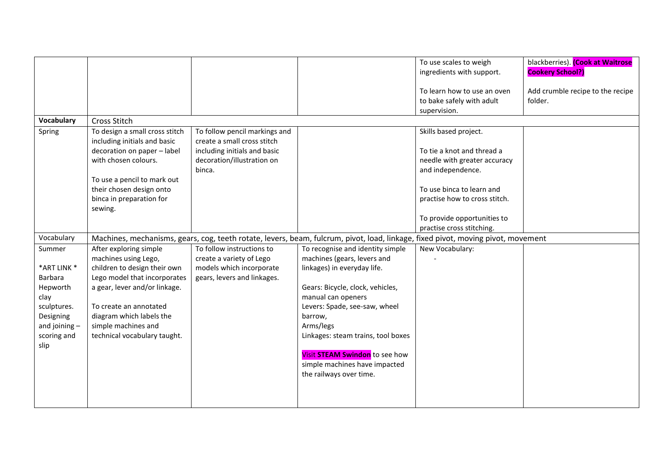|                   |                                                                |                                                              |                                                                                                                                  | To use scales to weigh                                   | blackberries). (Cook at Waitrose            |
|-------------------|----------------------------------------------------------------|--------------------------------------------------------------|----------------------------------------------------------------------------------------------------------------------------------|----------------------------------------------------------|---------------------------------------------|
|                   |                                                                |                                                              |                                                                                                                                  | ingredients with support.                                | <b>Cookery School?)</b>                     |
|                   |                                                                |                                                              |                                                                                                                                  | To learn how to use an oven<br>to bake safely with adult | Add crumble recipe to the recipe<br>folder. |
|                   |                                                                |                                                              |                                                                                                                                  | supervision.                                             |                                             |
| <b>Vocabulary</b> | <b>Cross Stitch</b>                                            |                                                              |                                                                                                                                  |                                                          |                                             |
| Spring            | To design a small cross stitch<br>including initials and basic | To follow pencil markings and<br>create a small cross stitch |                                                                                                                                  | Skills based project.                                    |                                             |
|                   | decoration on paper - label                                    | including initials and basic                                 |                                                                                                                                  | To tie a knot and thread a                               |                                             |
|                   | with chosen colours.                                           | decoration/illustration on                                   |                                                                                                                                  | needle with greater accuracy                             |                                             |
|                   |                                                                | binca.                                                       |                                                                                                                                  | and independence.                                        |                                             |
|                   | To use a pencil to mark out                                    |                                                              |                                                                                                                                  |                                                          |                                             |
|                   | their chosen design onto                                       |                                                              |                                                                                                                                  | To use binca to learn and                                |                                             |
|                   | binca in preparation for                                       |                                                              |                                                                                                                                  | practise how to cross stitch.                            |                                             |
|                   | sewing.                                                        |                                                              |                                                                                                                                  |                                                          |                                             |
|                   |                                                                |                                                              |                                                                                                                                  | To provide opportunities to                              |                                             |
|                   |                                                                |                                                              |                                                                                                                                  | practise cross stitching.                                |                                             |
| Vocabulary        |                                                                |                                                              | Machines, mechanisms, gears, cog, teeth rotate, levers, beam, fulcrum, pivot, load, linkage, fixed pivot, moving pivot, movement |                                                          |                                             |
| Summer            | After exploring simple                                         | To follow instructions to                                    | To recognise and identity simple                                                                                                 | New Vocabulary:                                          |                                             |
|                   | machines using Lego,                                           | create a variety of Lego                                     | machines (gears, levers and                                                                                                      |                                                          |                                             |
| *ART LINK *       | children to design their own                                   | models which incorporate                                     | linkages) in everyday life.                                                                                                      |                                                          |                                             |
| <b>Barbara</b>    | Lego model that incorporates                                   | gears, levers and linkages.                                  |                                                                                                                                  |                                                          |                                             |
| Hepworth          | a gear, lever and/or linkage.                                  |                                                              | Gears: Bicycle, clock, vehicles,                                                                                                 |                                                          |                                             |
| clay              |                                                                |                                                              | manual can openers                                                                                                               |                                                          |                                             |
| sculptures.       | To create an annotated                                         |                                                              | Levers: Spade, see-saw, wheel                                                                                                    |                                                          |                                             |
| Designing         | diagram which labels the                                       |                                                              | barrow,                                                                                                                          |                                                          |                                             |
| and joining $-$   | simple machines and                                            |                                                              | Arms/legs                                                                                                                        |                                                          |                                             |
| scoring and       | technical vocabulary taught.                                   |                                                              | Linkages: steam trains, tool boxes                                                                                               |                                                          |                                             |
| slip              |                                                                |                                                              | Visit STEAM Swindon to see how                                                                                                   |                                                          |                                             |
|                   |                                                                |                                                              | simple machines have impacted                                                                                                    |                                                          |                                             |
|                   |                                                                |                                                              | the railways over time.                                                                                                          |                                                          |                                             |
|                   |                                                                |                                                              |                                                                                                                                  |                                                          |                                             |
|                   |                                                                |                                                              |                                                                                                                                  |                                                          |                                             |
|                   |                                                                |                                                              |                                                                                                                                  |                                                          |                                             |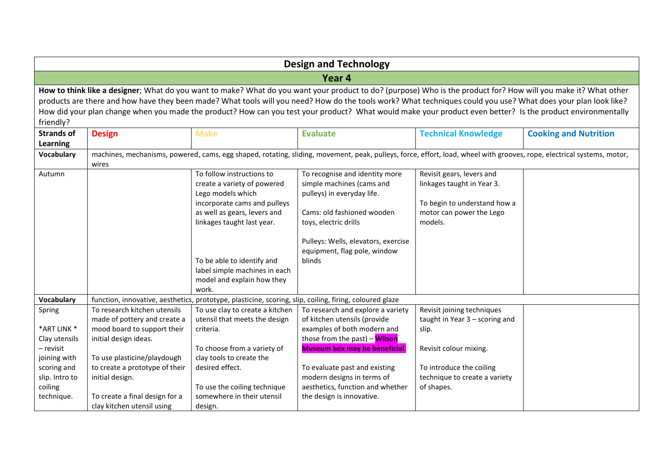| <b>Design and Technology</b>                                          |                                                                                                                                                                                                                                                                                                                                                                                                                                                                                                  |                                                                                                                                                                                                                                                                                   |                                                                                                                                                                                                                                   |                                                                                                                                |                              |  |  |  |
|-----------------------------------------------------------------------|--------------------------------------------------------------------------------------------------------------------------------------------------------------------------------------------------------------------------------------------------------------------------------------------------------------------------------------------------------------------------------------------------------------------------------------------------------------------------------------------------|-----------------------------------------------------------------------------------------------------------------------------------------------------------------------------------------------------------------------------------------------------------------------------------|-----------------------------------------------------------------------------------------------------------------------------------------------------------------------------------------------------------------------------------|--------------------------------------------------------------------------------------------------------------------------------|------------------------------|--|--|--|
|                                                                       | Year 4                                                                                                                                                                                                                                                                                                                                                                                                                                                                                           |                                                                                                                                                                                                                                                                                   |                                                                                                                                                                                                                                   |                                                                                                                                |                              |  |  |  |
| friendly?                                                             | How to think like a designer; What do you want to make? What do you want your product to do? (purpose) Who is the product for? How will you make it? What other<br>products are there and how have they been made? What tools will you need? How do the tools work? What techniques could you use? What does your plan look like?<br>How did your plan change when you made the product? How can you test your product? What would make your product even better? Is the product environmentally |                                                                                                                                                                                                                                                                                   |                                                                                                                                                                                                                                   |                                                                                                                                |                              |  |  |  |
| <b>Strands of</b><br><b>Learning</b>                                  | <b>Design</b>                                                                                                                                                                                                                                                                                                                                                                                                                                                                                    | <b>Make</b>                                                                                                                                                                                                                                                                       | <b>Evaluate</b>                                                                                                                                                                                                                   | <b>Technical Knowledge</b>                                                                                                     | <b>Cooking and Nutrition</b> |  |  |  |
| <b>Vocabulary</b>                                                     | wires                                                                                                                                                                                                                                                                                                                                                                                                                                                                                            |                                                                                                                                                                                                                                                                                   | machines, mechanisms, powered, cams, egg shaped, rotating, sliding, movement, peak, pulleys, force, effort, load, wheel with grooves, rope, electrical systems, motor,                                                            |                                                                                                                                |                              |  |  |  |
| Autumn                                                                |                                                                                                                                                                                                                                                                                                                                                                                                                                                                                                  | To follow instructions to<br>create a variety of powered<br>Lego models which<br>incorporate cams and pulleys<br>as well as gears, levers and<br>linkages taught last year.<br>To be able to identify and<br>label simple machines in each<br>model and explain how they<br>work. | To recognise and identity more<br>simple machines (cams and<br>pulleys) in everyday life.<br>Cams: old fashioned wooden<br>toys, electric drills<br>Pulleys: Wells, elevators, exercise<br>equipment, flag pole, window<br>blinds | Revisit gears, levers and<br>linkages taught in Year 3.<br>To begin to understand how a<br>motor can power the Lego<br>models. |                              |  |  |  |
| <b>Vocabulary</b>                                                     |                                                                                                                                                                                                                                                                                                                                                                                                                                                                                                  | function, innovative, aesthetics, prototype, plasticine, scoring, slip, coiling, firing, coloured glaze                                                                                                                                                                           |                                                                                                                                                                                                                                   |                                                                                                                                |                              |  |  |  |
| Spring<br>*ART LINK *<br>Clay utensils                                | To research kitchen utensils<br>made of pottery and create a<br>mood board to support their<br>initial design ideas.                                                                                                                                                                                                                                                                                                                                                                             | To use clay to create a kitchen<br>utensil that meets the design<br>criteria.                                                                                                                                                                                                     | To research and explore a variety<br>of kitchen utensils (provide<br>examples of both modern and<br>those from the past) - Wilson                                                                                                 | Revisit joining techniques<br>taught in Year 3 - scoring and<br>slip.                                                          |                              |  |  |  |
| - revisit<br>joining with<br>scoring and<br>slip. Intro to<br>coiling | To use plasticine/playdough<br>to create a prototype of their<br>initial design.                                                                                                                                                                                                                                                                                                                                                                                                                 | To choose from a variety of<br>clay tools to create the<br>desired effect.<br>To use the coiling technique                                                                                                                                                                        | <b>Museum box may be beneficial.</b><br>To evaluate past and existing<br>modern designs in terms of<br>aesthetics, function and whether                                                                                           | Revisit colour mixing.<br>To introduce the coiling<br>technique to create a variety<br>of shapes.                              |                              |  |  |  |
| technique.                                                            | To create a final design for a<br>clay kitchen utensil using                                                                                                                                                                                                                                                                                                                                                                                                                                     | somewhere in their utensil<br>design.                                                                                                                                                                                                                                             | the design is innovative.                                                                                                                                                                                                         |                                                                                                                                |                              |  |  |  |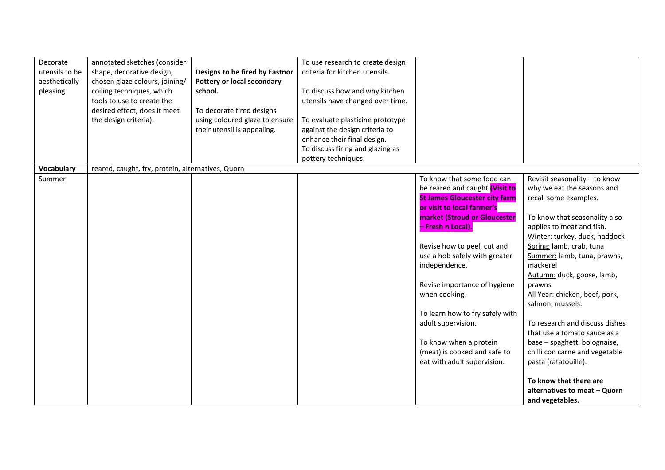| Revisit seasonality - to know  |
|--------------------------------|
| why we eat the seasons and     |
|                                |
|                                |
| To know that seasonality also  |
|                                |
| Winter: turkey, duck, haddock  |
|                                |
| Summer: lamb, tuna, prawns,    |
|                                |
| Autumn: duck, goose, lamb,     |
|                                |
| All Year: chicken, beef, pork, |
|                                |
|                                |
| To research and discuss dishes |
| that use a tomato sauce as a   |
| base - spaghetti bolognaise,   |
| chilli con carne and vegetable |
|                                |
|                                |
|                                |
| alternatives to meat - Quorn   |
|                                |
|                                |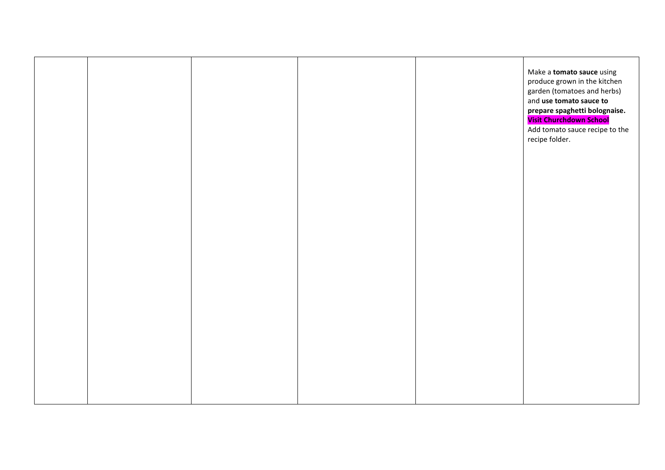|  |  | Make a <b>tomato sauce</b> using                            |
|--|--|-------------------------------------------------------------|
|  |  | produce grown in the kitchen<br>garden (tomatoes and herbs) |
|  |  | and use tomato sauce to                                     |
|  |  | prepare spaghetti bolognaise.<br>Visit Churchdown School    |
|  |  | Add tomato sauce recipe to the<br>recipe folder.            |
|  |  |                                                             |
|  |  |                                                             |
|  |  |                                                             |
|  |  |                                                             |
|  |  |                                                             |
|  |  |                                                             |
|  |  |                                                             |
|  |  |                                                             |
|  |  |                                                             |
|  |  |                                                             |
|  |  |                                                             |
|  |  |                                                             |
|  |  |                                                             |
|  |  |                                                             |
|  |  |                                                             |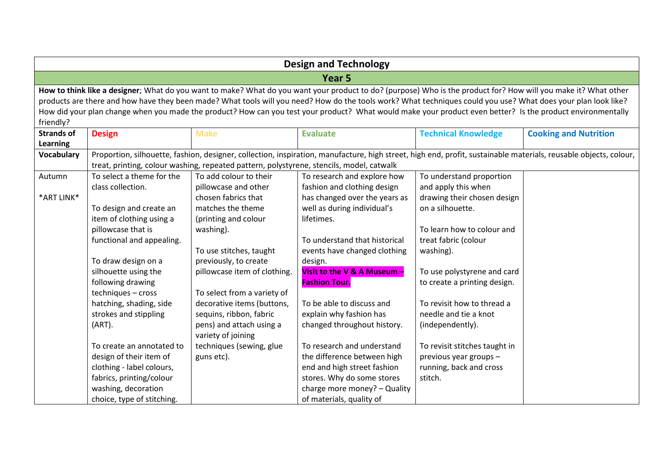|                   | <b>Design and Technology</b> |                                                                                          |                                                                                                                                                                  |                               |                              |  |  |
|-------------------|------------------------------|------------------------------------------------------------------------------------------|------------------------------------------------------------------------------------------------------------------------------------------------------------------|-------------------------------|------------------------------|--|--|
|                   |                              |                                                                                          | Year <sub>5</sub>                                                                                                                                                |                               |                              |  |  |
|                   |                              |                                                                                          | How to think like a designer; What do you want to make? What do you want your product to do? (purpose) Who is the product for? How will you make it? What other  |                               |                              |  |  |
|                   |                              |                                                                                          | products are there and how have they been made? What tools will you need? How do the tools work? What techniques could you use? What does your plan look like?   |                               |                              |  |  |
|                   |                              |                                                                                          | How did your plan change when you made the product? How can you test your product? What would make your product even better? Is the product environmentally      |                               |                              |  |  |
| friendly?         |                              |                                                                                          |                                                                                                                                                                  |                               |                              |  |  |
| <b>Strands of</b> | <b>Design</b>                | <b>Make</b>                                                                              | <b>Evaluate</b>                                                                                                                                                  | <b>Technical Knowledge</b>    | <b>Cooking and Nutrition</b> |  |  |
| <b>Learning</b>   |                              |                                                                                          |                                                                                                                                                                  |                               |                              |  |  |
| <b>Vocabulary</b> |                              |                                                                                          | Proportion, silhouette, fashion, designer, collection, inspiration, manufacture, high street, high end, profit, sustainable materials, reusable objects, colour, |                               |                              |  |  |
|                   |                              | treat, printing, colour washing, repeated pattern, polystyrene, stencils, model, catwalk |                                                                                                                                                                  |                               |                              |  |  |
| Autumn            | To select a theme for the    | To add colour to their                                                                   | To research and explore how                                                                                                                                      | To understand proportion      |                              |  |  |
|                   | class collection.            | pillowcase and other                                                                     | fashion and clothing design                                                                                                                                      | and apply this when           |                              |  |  |
| *ART LINK*        |                              | chosen fabrics that                                                                      | has changed over the years as                                                                                                                                    | drawing their chosen design   |                              |  |  |
|                   | To design and create an      | matches the theme                                                                        | well as during individual's                                                                                                                                      | on a silhouette.              |                              |  |  |
|                   | item of clothing using a     | (printing and colour                                                                     | lifetimes.                                                                                                                                                       |                               |                              |  |  |
|                   | pillowcase that is           | washing).                                                                                |                                                                                                                                                                  | To learn how to colour and    |                              |  |  |
|                   | functional and appealing.    |                                                                                          | To understand that historical                                                                                                                                    | treat fabric (colour          |                              |  |  |
|                   |                              | To use stitches, taught                                                                  | events have changed clothing                                                                                                                                     | washing).                     |                              |  |  |
|                   | To draw design on a          | previously, to create                                                                    | design.                                                                                                                                                          |                               |                              |  |  |
|                   | silhouette using the         | pillowcase item of clothing.                                                             | Visit to the V & A Museum -                                                                                                                                      | To use polystyrene and card   |                              |  |  |
|                   | following drawing            |                                                                                          | <b>Fashion Tour.</b>                                                                                                                                             | to create a printing design.  |                              |  |  |
|                   | techniques - cross           | To select from a variety of                                                              |                                                                                                                                                                  |                               |                              |  |  |
|                   | hatching, shading, side      | decorative items (buttons,                                                               | To be able to discuss and                                                                                                                                        | To revisit how to thread a    |                              |  |  |
|                   | strokes and stippling        | sequins, ribbon, fabric                                                                  | explain why fashion has                                                                                                                                          | needle and tie a knot         |                              |  |  |
|                   | (ART).                       | pens) and attach using a<br>variety of joining                                           | changed throughout history.                                                                                                                                      | (independently).              |                              |  |  |
|                   | To create an annotated to    | techniques (sewing, glue                                                                 | To research and understand                                                                                                                                       | To revisit stitches taught in |                              |  |  |
|                   | design of their item of      | guns etc).                                                                               | the difference between high                                                                                                                                      | previous year groups -        |                              |  |  |
|                   | clothing - label colours,    |                                                                                          | end and high street fashion                                                                                                                                      | running, back and cross       |                              |  |  |
|                   | fabrics, printing/colour     |                                                                                          | stores. Why do some stores                                                                                                                                       | stitch.                       |                              |  |  |
|                   | washing, decoration          |                                                                                          | charge more money? - Quality                                                                                                                                     |                               |                              |  |  |
|                   | choice, type of stitching.   |                                                                                          | of materials, quality of                                                                                                                                         |                               |                              |  |  |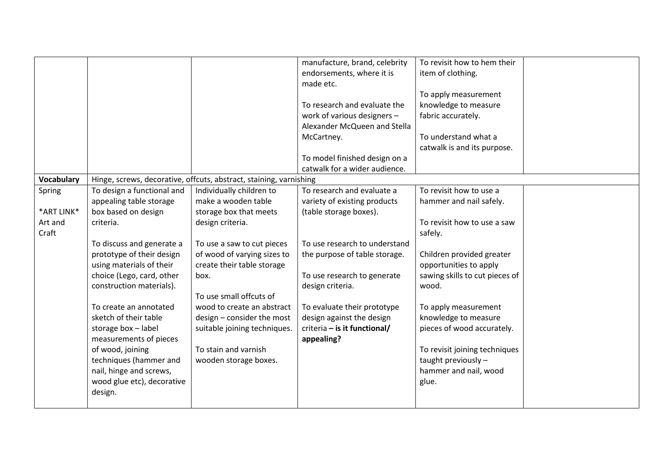|                       |                                               |                                                                    | manufacture, brand, celebrity<br>endorsements, where it is<br>made etc.<br>To research and evaluate the<br>work of various designers -<br>Alexander McQueen and Stella | To revisit how to hem their<br>item of clothing.<br>To apply measurement<br>knowledge to measure<br>fabric accurately. |  |
|-----------------------|-----------------------------------------------|--------------------------------------------------------------------|------------------------------------------------------------------------------------------------------------------------------------------------------------------------|------------------------------------------------------------------------------------------------------------------------|--|
|                       |                                               |                                                                    | McCartney.                                                                                                                                                             | To understand what a                                                                                                   |  |
|                       |                                               |                                                                    |                                                                                                                                                                        | catwalk is and its purpose.                                                                                            |  |
|                       |                                               |                                                                    | To model finished design on a                                                                                                                                          |                                                                                                                        |  |
|                       |                                               |                                                                    | catwalk for a wider audience.                                                                                                                                          |                                                                                                                        |  |
| <b>Vocabulary</b>     |                                               | Hinge, screws, decorative, offcuts, abstract, staining, varnishing |                                                                                                                                                                        |                                                                                                                        |  |
| Spring                | To design a functional and                    | Individually children to                                           | To research and evaluate a                                                                                                                                             | To revisit how to use a                                                                                                |  |
|                       | appealing table storage                       | make a wooden table                                                | variety of existing products                                                                                                                                           | hammer and nail safely.                                                                                                |  |
| *ART LINK*<br>Art and | box based on design                           | storage box that meets                                             | (table storage boxes).                                                                                                                                                 | To revisit how to use a saw                                                                                            |  |
| Craft                 | criteria.                                     | design criteria.                                                   |                                                                                                                                                                        | safely.                                                                                                                |  |
|                       | To discuss and generate a                     | To use a saw to cut pieces                                         | To use research to understand                                                                                                                                          |                                                                                                                        |  |
|                       | prototype of their design                     | of wood of varying sizes to                                        | the purpose of table storage.                                                                                                                                          | Children provided greater                                                                                              |  |
|                       | using materials of their                      | create their table storage                                         |                                                                                                                                                                        | opportunities to apply                                                                                                 |  |
|                       | choice (Lego, card, other                     | box.                                                               | To use research to generate                                                                                                                                            | sawing skills to cut pieces of                                                                                         |  |
|                       | construction materials).                      |                                                                    | design criteria.                                                                                                                                                       | wood.                                                                                                                  |  |
|                       |                                               | To use small offcuts of                                            |                                                                                                                                                                        |                                                                                                                        |  |
|                       | To create an annotated                        | wood to create an abstract                                         | To evaluate their prototype                                                                                                                                            | To apply measurement                                                                                                   |  |
|                       | sketch of their table                         | design - consider the most                                         | design against the design                                                                                                                                              | knowledge to measure                                                                                                   |  |
|                       | storage box - label<br>measurements of pieces | suitable joining techniques.                                       | criteria - is it functional/<br>appealing?                                                                                                                             | pieces of wood accurately.                                                                                             |  |
|                       | of wood, joining                              | To stain and varnish                                               |                                                                                                                                                                        | To revisit joining techniques                                                                                          |  |
|                       | techniques (hammer and                        | wooden storage boxes.                                              |                                                                                                                                                                        | taught previously -                                                                                                    |  |
|                       | nail, hinge and screws,                       |                                                                    |                                                                                                                                                                        | hammer and nail, wood                                                                                                  |  |
|                       | wood glue etc), decorative                    |                                                                    |                                                                                                                                                                        | glue.                                                                                                                  |  |
|                       | design.                                       |                                                                    |                                                                                                                                                                        |                                                                                                                        |  |
|                       |                                               |                                                                    |                                                                                                                                                                        |                                                                                                                        |  |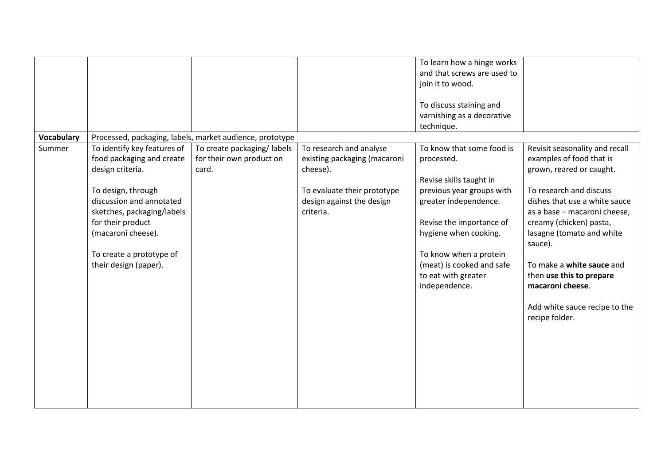| <b>Vocabulary</b> |                                                                                                                                                                                                                                                              | Processed, packaging, labels, market audience, prototype        |                                                                                                                                              | To learn how a hinge works<br>and that screws are used to<br>join it to wood.<br>To discuss staining and<br>varnishing as a decorative<br>technique.                                                                                                                         |                                                                                                                                                                                                                                                                                                                                                                                       |
|-------------------|--------------------------------------------------------------------------------------------------------------------------------------------------------------------------------------------------------------------------------------------------------------|-----------------------------------------------------------------|----------------------------------------------------------------------------------------------------------------------------------------------|------------------------------------------------------------------------------------------------------------------------------------------------------------------------------------------------------------------------------------------------------------------------------|---------------------------------------------------------------------------------------------------------------------------------------------------------------------------------------------------------------------------------------------------------------------------------------------------------------------------------------------------------------------------------------|
| Summer            | To identify key features of<br>food packaging and create<br>design criteria.<br>To design, through<br>discussion and annotated<br>sketches, packaging/labels<br>for their product<br>(macaroni cheese).<br>To create a prototype of<br>their design (paper). | To create packaging/labels<br>for their own product on<br>card. | To research and analyse<br>existing packaging (macaroni<br>cheese).<br>To evaluate their prototype<br>design against the design<br>criteria. | To know that some food is<br>processed.<br>Revise skills taught in<br>previous year groups with<br>greater independence.<br>Revise the importance of<br>hygiene when cooking.<br>To know when a protein<br>(meat) is cooked and safe<br>to eat with greater<br>independence. | Revisit seasonality and recall<br>examples of food that is<br>grown, reared or caught.<br>To research and discuss<br>dishes that use a white sauce<br>as a base - macaroni cheese,<br>creamy (chicken) pasta,<br>lasagne (tomato and white<br>sauce).<br>To make a white sauce and<br>then use this to prepare<br>macaroni cheese.<br>Add white sauce recipe to the<br>recipe folder. |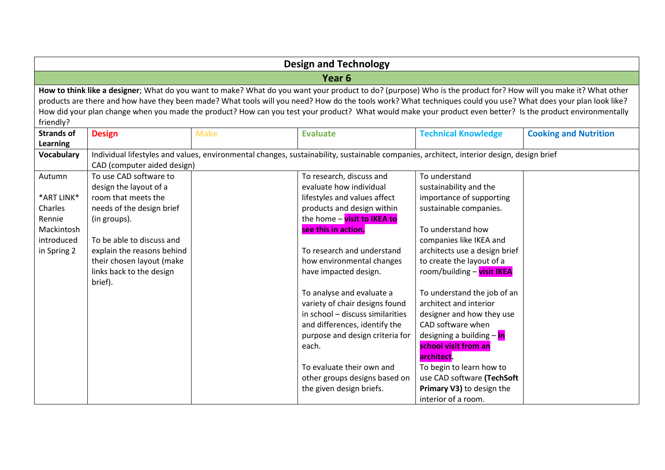| How to think like a designer; What do you want to make? What do you want your product to do? (purpose) Who is the product for? How will you make it? What other |  |  |  |  |  |  |
|-----------------------------------------------------------------------------------------------------------------------------------------------------------------|--|--|--|--|--|--|
| products are there and how have they been made? What tools will you need? How do the tools work? What techniques could you use? What does your plan look like?  |  |  |  |  |  |  |
| How did your plan change when you made the product? How can you test your product? What would make your product even better? Is the product environmentally     |  |  |  |  |  |  |
| friendly?<br><b>Strands of</b><br><b>Design</b><br><b>Make</b><br><b>Evaluate</b><br><b>Technical Knowledge</b>                                                 |  |  |  |  |  |  |
| <b>Cooking and Nutrition</b>                                                                                                                                    |  |  |  |  |  |  |
|                                                                                                                                                                 |  |  |  |  |  |  |
|                                                                                                                                                                 |  |  |  |  |  |  |
|                                                                                                                                                                 |  |  |  |  |  |  |
|                                                                                                                                                                 |  |  |  |  |  |  |
|                                                                                                                                                                 |  |  |  |  |  |  |
|                                                                                                                                                                 |  |  |  |  |  |  |
|                                                                                                                                                                 |  |  |  |  |  |  |
|                                                                                                                                                                 |  |  |  |  |  |  |
|                                                                                                                                                                 |  |  |  |  |  |  |
|                                                                                                                                                                 |  |  |  |  |  |  |
|                                                                                                                                                                 |  |  |  |  |  |  |
|                                                                                                                                                                 |  |  |  |  |  |  |
|                                                                                                                                                                 |  |  |  |  |  |  |
|                                                                                                                                                                 |  |  |  |  |  |  |
|                                                                                                                                                                 |  |  |  |  |  |  |
|                                                                                                                                                                 |  |  |  |  |  |  |
|                                                                                                                                                                 |  |  |  |  |  |  |
|                                                                                                                                                                 |  |  |  |  |  |  |
|                                                                                                                                                                 |  |  |  |  |  |  |
|                                                                                                                                                                 |  |  |  |  |  |  |
|                                                                                                                                                                 |  |  |  |  |  |  |
|                                                                                                                                                                 |  |  |  |  |  |  |
|                                                                                                                                                                 |  |  |  |  |  |  |
|                                                                                                                                                                 |  |  |  |  |  |  |
|                                                                                                                                                                 |  |  |  |  |  |  |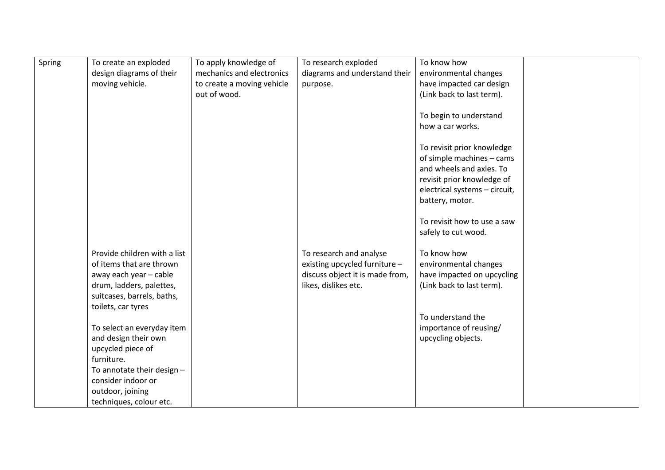| Spring | To create an exploded        | To apply knowledge of      | To research exploded            | To know how                   |  |
|--------|------------------------------|----------------------------|---------------------------------|-------------------------------|--|
|        | design diagrams of their     | mechanics and electronics  | diagrams and understand their   | environmental changes         |  |
|        | moving vehicle.              | to create a moving vehicle | purpose.                        | have impacted car design      |  |
|        |                              | out of wood.               |                                 | (Link back to last term).     |  |
|        |                              |                            |                                 |                               |  |
|        |                              |                            |                                 | To begin to understand        |  |
|        |                              |                            |                                 | how a car works.              |  |
|        |                              |                            |                                 |                               |  |
|        |                              |                            |                                 | To revisit prior knowledge    |  |
|        |                              |                            |                                 | of simple machines - cams     |  |
|        |                              |                            |                                 | and wheels and axles. To      |  |
|        |                              |                            |                                 | revisit prior knowledge of    |  |
|        |                              |                            |                                 | electrical systems - circuit, |  |
|        |                              |                            |                                 | battery, motor.               |  |
|        |                              |                            |                                 |                               |  |
|        |                              |                            |                                 | To revisit how to use a saw   |  |
|        |                              |                            |                                 | safely to cut wood.           |  |
|        |                              |                            |                                 |                               |  |
|        | Provide children with a list |                            | To research and analyse         | To know how                   |  |
|        | of items that are thrown     |                            | existing upcycled furniture -   | environmental changes         |  |
|        | away each year - cable       |                            | discuss object it is made from, | have impacted on upcycling    |  |
|        | drum, ladders, palettes,     |                            | likes, dislikes etc.            | (Link back to last term).     |  |
|        | suitcases, barrels, baths,   |                            |                                 |                               |  |
|        | toilets, car tyres           |                            |                                 |                               |  |
|        |                              |                            |                                 | To understand the             |  |
|        | To select an everyday item   |                            |                                 | importance of reusing/        |  |
|        | and design their own         |                            |                                 | upcycling objects.            |  |
|        | upcycled piece of            |                            |                                 |                               |  |
|        | furniture.                   |                            |                                 |                               |  |
|        | To annotate their design -   |                            |                                 |                               |  |
|        | consider indoor or           |                            |                                 |                               |  |
|        | outdoor, joining             |                            |                                 |                               |  |
|        | techniques, colour etc.      |                            |                                 |                               |  |